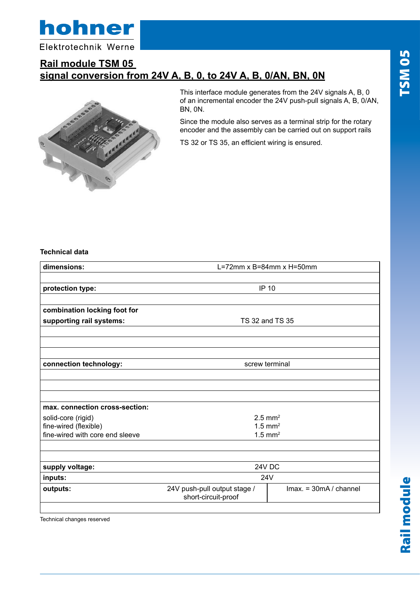

Elektrotechnik Werne

### **Rail module TSM 05 signal conversion from 24V A, B, 0, to 24V A, B, 0/AN, BN, 0N**



This interface module generates from the 24V signals A, B, 0 of an incremental encoder the 24V push-pull signals A, B, 0/AN, BN, 0N.

Since the module also serves as a terminal strip for the rotary encoder and the assembly can be carried out on support rails

TS 32 or TS 35, an efficient wiring is ensured.

### **Technical data**

| dimensions:                     | L=72mm $\times$ B=84mm $\times$ H=50mm              |                                                |
|---------------------------------|-----------------------------------------------------|------------------------------------------------|
| protection type:                | <b>IP 10</b>                                        |                                                |
|                                 |                                                     |                                                |
| combination locking foot for    |                                                     |                                                |
| supporting rail systems:        | TS 32 and TS 35                                     |                                                |
|                                 |                                                     |                                                |
|                                 |                                                     |                                                |
| connection technology:          | screw terminal                                      |                                                |
|                                 |                                                     |                                                |
|                                 |                                                     |                                                |
|                                 |                                                     |                                                |
| max. connection cross-section:  |                                                     |                                                |
| solid-core (rigid)              | $2.5$ mm <sup>2</sup>                               |                                                |
| fine-wired (flexible)           | $1.5$ mm <sup>2</sup>                               |                                                |
| fine-wired with core end sleeve | $1.5$ mm <sup>2</sup>                               |                                                |
|                                 |                                                     |                                                |
| supply voltage:                 | 24V DC                                              |                                                |
| inputs:                         | 24V                                                 |                                                |
| outputs:                        | 24V push-pull output stage /<br>short-circuit-proof | $\text{Imax.} = 30 \text{mA} / \text{channel}$ |
|                                 |                                                     |                                                |

Technical changes reserved